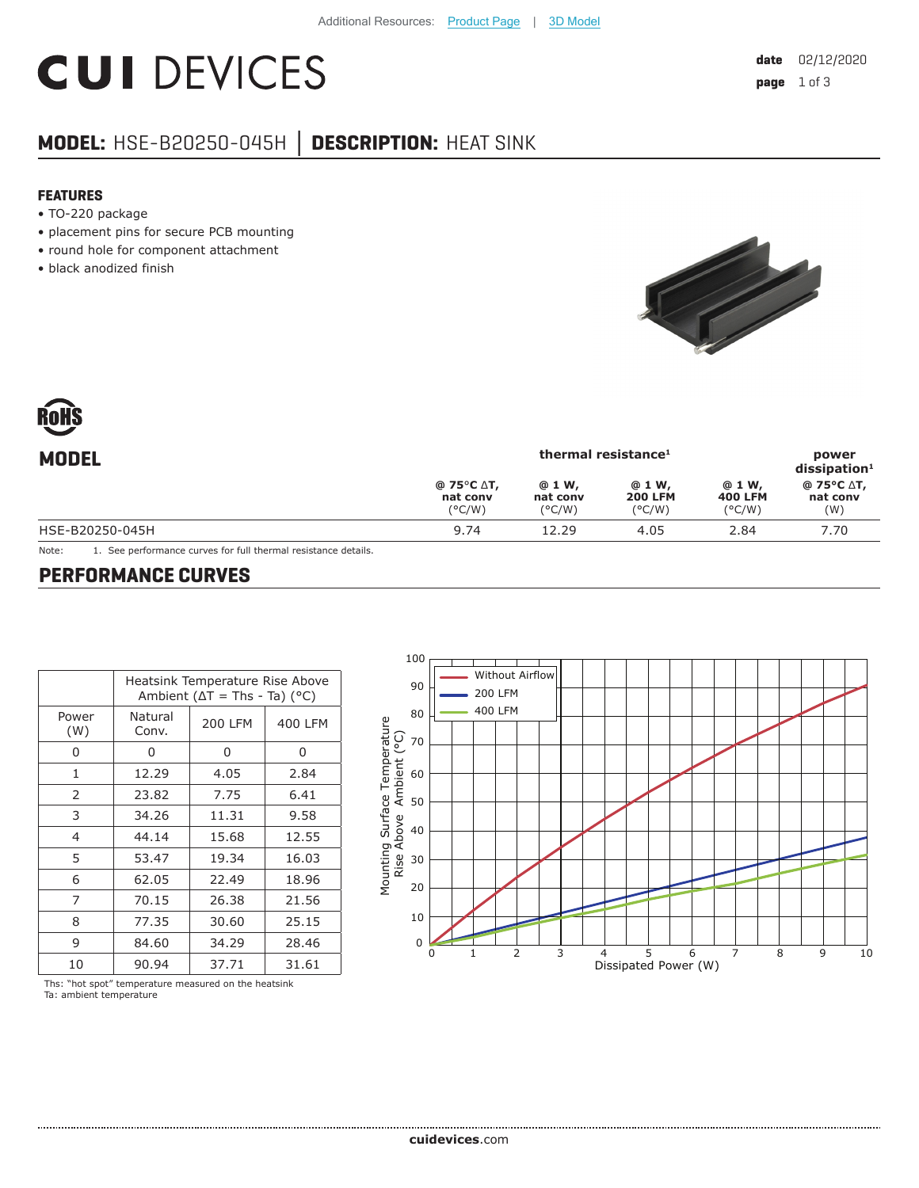# **CUI DEVICES**

## **MODEL:** HSE-B20250-045H **│ DESCRIPTION:** HEAT SINK

#### **FEATURES**

- TO-220 package
- placement pins for secure PCB mounting
- round hole for component attachment
- black anodized finish



| <b>MODEL</b>    | thermal resistance <sup>1</sup>                                                |                                       |                                              |                                              | power<br>$dis$ sipation <sup>1</sup> |
|-----------------|--------------------------------------------------------------------------------|---------------------------------------|----------------------------------------------|----------------------------------------------|--------------------------------------|
|                 | @ 75 $\mathrm{^{\circ}C}$ $\mathrm{\Delta}$ T,<br>nat conv<br>$(^{\circ}$ C/W) | @ 1 W,<br>nat conv<br>$(^{\circ}C/W)$ | @ 1 W,<br><b>200 LFM</b><br>$(^{\circ}$ C/W) | @ 1 W,<br><b>400 LFM</b><br>$(^{\circ}$ C/W) | @ 75°C ∆T,<br>nat conv<br>(W)        |
| HSE-B20250-045H | 9.74                                                                           | 12.29                                 | 4.05                                         | 2.84                                         | 7.70                                 |

Note: 1. See performance curves for full thermal resistance details.

#### **PERFORMANCE CURVES**

|                | Heatsink Temperature Rise Above<br>Ambient ( $\Delta T$ = Ths - Ta) (°C) |                |         |  |
|----------------|--------------------------------------------------------------------------|----------------|---------|--|
| Power<br>(W)   | Natural<br>Conv.                                                         | <b>200 LFM</b> | 400 LFM |  |
| 0              | 0                                                                        | 0              | 0       |  |
| 1              | 12.29                                                                    | 4.05           | 2.84    |  |
| 2              | 23.82                                                                    | 7.75           | 6.41    |  |
| 3              | 34.26                                                                    | 11.31          | 9.58    |  |
| $\overline{4}$ | 44.14                                                                    | 15.68          | 12.55   |  |
| 5              | 53.47                                                                    | 19.34          | 16.03   |  |
| 6              | 62.05                                                                    | 22.49          | 18.96   |  |
| 7              | 70.15                                                                    | 26.38          | 21.56   |  |
| 8              | 77.35                                                                    | 30.60          | 25.15   |  |
| 9              | 84.60                                                                    | 34.29          | 28.46   |  |
| 10             | 90.94                                                                    | 37.71          | 31.61   |  |



Ths: "hot spot" temperature measured on the heatsink Ta: ambient temperature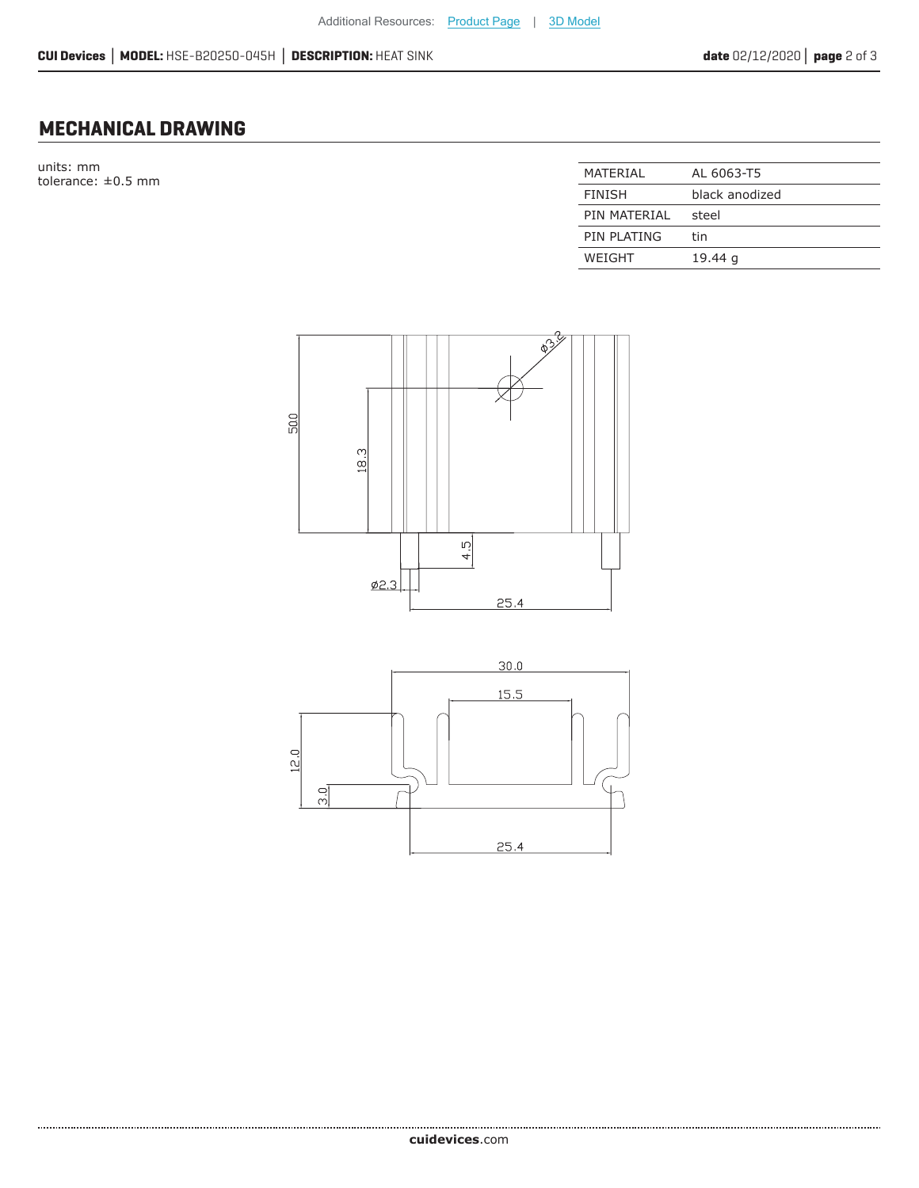12.0

 $\frac{5}{2}$ 

### **MECHANICAL DRAWING**

units: mm tolerance:  $\pm 0.5$  mm

| MATFRIAI      | AL 6063-T5     |
|---------------|----------------|
| <b>FINISH</b> | black anodized |
| PIN MATFRIAI  | steel          |
| PIN PLATING   | tin            |
| WEIGHT        | 19.44 g        |



 $25.4$